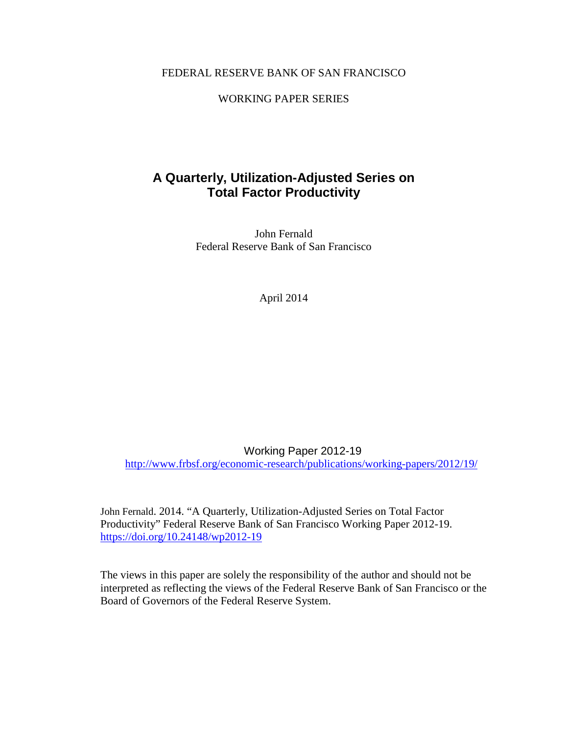# FEDERAL RESERVE BANK OF SAN FRANCISCO

# WORKING PAPER SERIES

# **A Quarterly, Utilization-Adjusted Series on Total Factor Productivity**

John Fernald Federal Reserve Bank of San Francisco

April 2014

Working Paper 2012-19

<http://www.frbsf.org/economic-research/publications/working-papers/2012/19/>

John Fernald. 2014. "A Quarterly, Utilization-Adjusted Series on Total Factor Productivity" Federal Reserve Bank of San Francisco Working Paper 2012-19. <https://doi.org/10.24148/wp2012-19>

The views in this paper are solely the responsibility of the author and should not be interpreted as reflecting the views of the Federal Reserve Bank of San Francisco or the Board of Governors of the Federal Reserve System.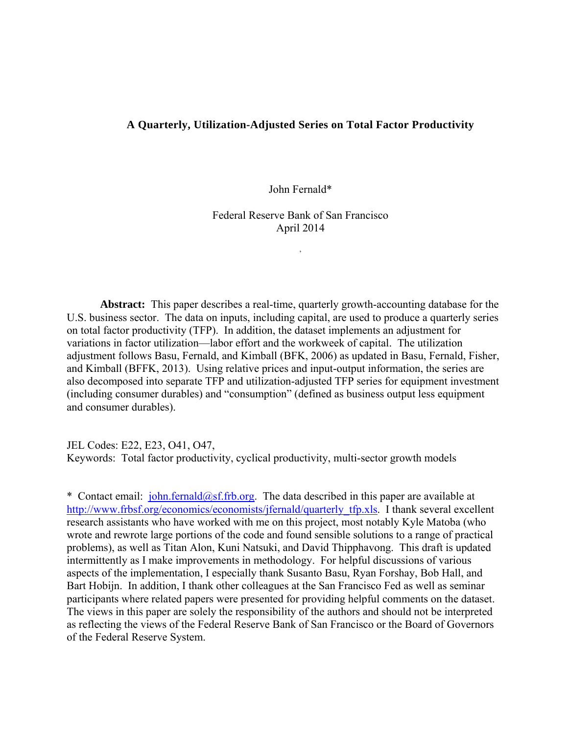# **A Quarterly, Utilization-Adjusted Series on Total Factor Productivity**

John Fernald\*

Federal Reserve Bank of San Francisco April 2014

,

**Abstract:** This paper describes a real-time, quarterly growth-accounting database for the U.S. business sector. The data on inputs, including capital, are used to produce a quarterly series on total factor productivity (TFP). In addition, the dataset implements an adjustment for variations in factor utilization—labor effort and the workweek of capital. The utilization adjustment follows Basu, Fernald, and Kimball (BFK, 2006) as updated in Basu, Fernald, Fisher, and Kimball (BFFK, 2013). Using relative prices and input-output information, the series are also decomposed into separate TFP and utilization-adjusted TFP series for equipment investment (including consumer durables) and "consumption" (defined as business output less equipment and consumer durables).

JEL Codes: E22, E23, O41, O47, Keywords: Total factor productivity, cyclical productivity, multi-sector growth models

\* Contact email: john.fernald@sf.frb.org. The data described in this paper are available at http://www.frbsf.org/economics/economists/jfernald/quarterly\_tfp.xls. I thank several excellent research assistants who have worked with me on this project, most notably Kyle Matoba (who wrote and rewrote large portions of the code and found sensible solutions to a range of practical problems), as well as Titan Alon, Kuni Natsuki, and David Thipphavong. This draft is updated intermittently as I make improvements in methodology. For helpful discussions of various aspects of the implementation, I especially thank Susanto Basu, Ryan Forshay, Bob Hall, and Bart Hobijn. In addition, I thank other colleagues at the San Francisco Fed as well as seminar participants where related papers were presented for providing helpful comments on the dataset. The views in this paper are solely the responsibility of the authors and should not be interpreted as reflecting the views of the Federal Reserve Bank of San Francisco or the Board of Governors of the Federal Reserve System.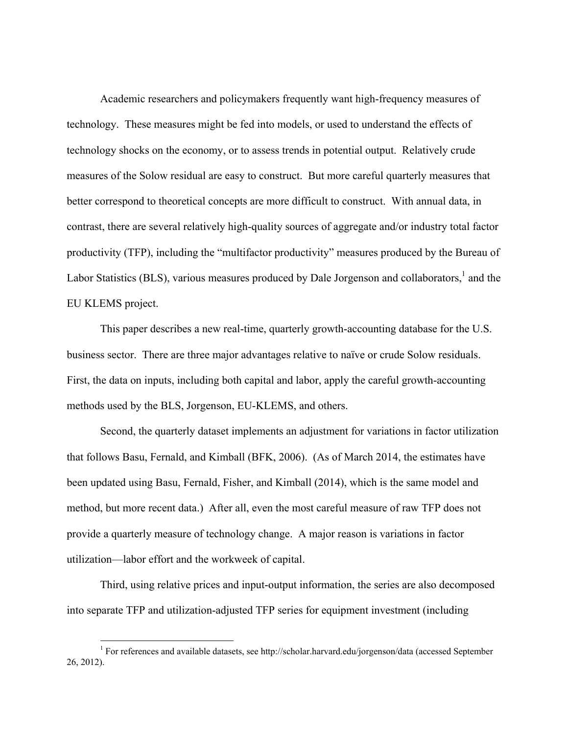Academic researchers and policymakers frequently want high-frequency measures of technology. These measures might be fed into models, or used to understand the effects of technology shocks on the economy, or to assess trends in potential output. Relatively crude measures of the Solow residual are easy to construct. But more careful quarterly measures that better correspond to theoretical concepts are more difficult to construct. With annual data, in contrast, there are several relatively high-quality sources of aggregate and/or industry total factor productivity (TFP), including the "multifactor productivity" measures produced by the Bureau of Labor Statistics (BLS), various measures produced by Dale Jorgenson and collaborators,<sup>1</sup> and the EU KLEMS project.

This paper describes a new real-time, quarterly growth-accounting database for the U.S. business sector. There are three major advantages relative to naïve or crude Solow residuals. First, the data on inputs, including both capital and labor, apply the careful growth-accounting methods used by the BLS, Jorgenson, EU-KLEMS, and others.

Second, the quarterly dataset implements an adjustment for variations in factor utilization that follows Basu, Fernald, and Kimball (BFK, 2006). (As of March 2014, the estimates have been updated using Basu, Fernald, Fisher, and Kimball (2014), which is the same model and method, but more recent data.) After all, even the most careful measure of raw TFP does not provide a quarterly measure of technology change. A major reason is variations in factor utilization—labor effort and the workweek of capital.

Third, using relative prices and input-output information, the series are also decomposed into separate TFP and utilization-adjusted TFP series for equipment investment (including

 1 For references and available datasets, see http://scholar.harvard.edu/jorgenson/data (accessed September 26, 2012).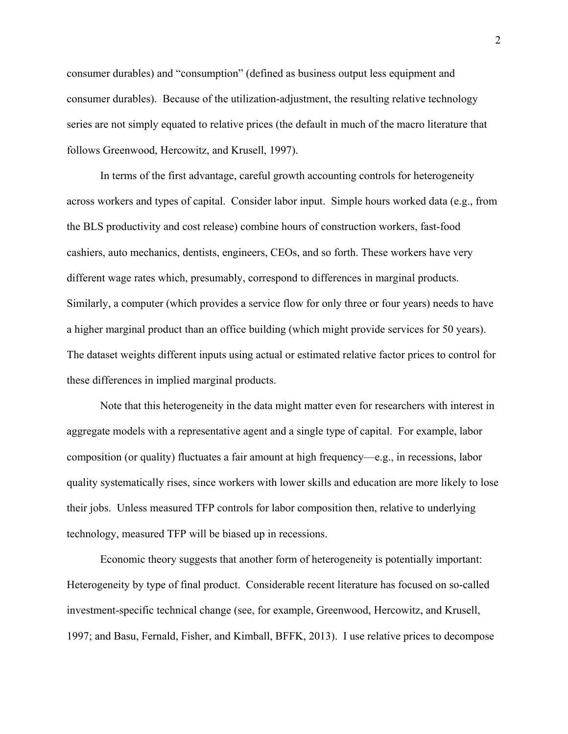consumer durables) and "consumption" (defined as business output less equipment and consumer durables). Because of the utilization-adjustment, the resulting relative technology series are not simply equated to relative prices (the default in much of the macro literature that follows Greenwood, Hercowitz, and Krusell, 1997).

In terms of the first advantage, careful growth accounting controls for heterogeneity across workers and types of capital. Consider labor input. Simple hours worked data (e.g., from the BLS productivity and cost release) combine hours of construction workers, fast-food cashiers, auto mechanics, dentists, engineers, CEOs, and so forth. These workers have very different wage rates which, presumably, correspond to differences in marginal products. Similarly, a computer (which provides a service flow for only three or four years) needs to have a higher marginal product than an office building (which might provide services for 50 years). The dataset weights different inputs using actual or estimated relative factor prices to control for these differences in implied marginal products.

Note that this heterogeneity in the data might matter even for researchers with interest in aggregate models with a representative agent and a single type of capital. For example, labor composition (or quality) fluctuates a fair amount at high frequency—e.g., in recessions, labor quality systematically rises, since workers with lower skills and education are more likely to lose their jobs. Unless measured TFP controls for labor composition then, relative to underlying technology, measured TFP will be biased up in recessions.

Economic theory suggests that another form of heterogeneity is potentially important: Heterogeneity by type of final product. Considerable recent literature has focused on so-called investment-specific technical change (see, for example, Greenwood, Hercowitz, and Krusell, 1997; and Basu, Fernald, Fisher, and Kimball, BFFK, 2013). I use relative prices to decompose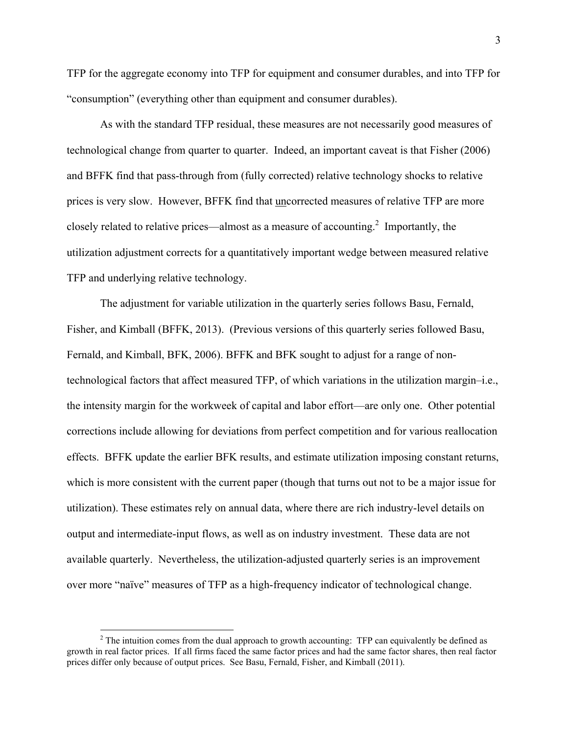TFP for the aggregate economy into TFP for equipment and consumer durables, and into TFP for "consumption" (everything other than equipment and consumer durables).

As with the standard TFP residual, these measures are not necessarily good measures of technological change from quarter to quarter. Indeed, an important caveat is that Fisher (2006) and BFFK find that pass-through from (fully corrected) relative technology shocks to relative prices is very slow. However, BFFK find that uncorrected measures of relative TFP are more closely related to relative prices—almost as a measure of accounting.<sup>2</sup> Importantly, the utilization adjustment corrects for a quantitatively important wedge between measured relative TFP and underlying relative technology.

The adjustment for variable utilization in the quarterly series follows Basu, Fernald, Fisher, and Kimball (BFFK, 2013). (Previous versions of this quarterly series followed Basu, Fernald, and Kimball, BFK, 2006). BFFK and BFK sought to adjust for a range of nontechnological factors that affect measured TFP, of which variations in the utilization margin–i.e., the intensity margin for the workweek of capital and labor effort—are only one. Other potential corrections include allowing for deviations from perfect competition and for various reallocation effects. BFFK update the earlier BFK results, and estimate utilization imposing constant returns, which is more consistent with the current paper (though that turns out not to be a major issue for utilization). These estimates rely on annual data, where there are rich industry-level details on output and intermediate-input flows, as well as on industry investment. These data are not available quarterly. Nevertheless, the utilization-adjusted quarterly series is an improvement over more "naïve" measures of TFP as a high-frequency indicator of technological change.

 $2^2$  The intuition comes from the dual approach to growth accounting: TFP can equivalently be defined as growth in real factor prices. If all firms faced the same factor prices and had the same factor shares, then real factor prices differ only because of output prices. See Basu, Fernald, Fisher, and Kimball (2011).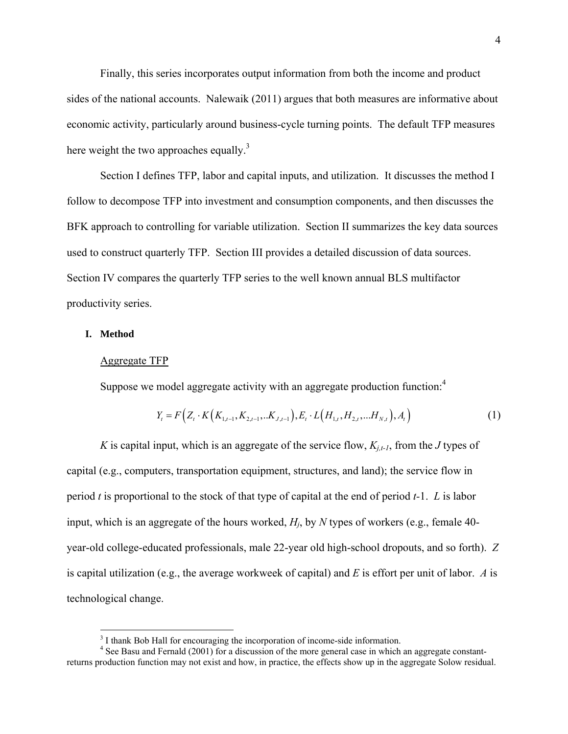Finally, this series incorporates output information from both the income and product sides of the national accounts. Nalewaik (2011) argues that both measures are informative about economic activity, particularly around business-cycle turning points. The default TFP measures here weight the two approaches equally.<sup>3</sup>

Section I defines TFP, labor and capital inputs, and utilization. It discusses the method I follow to decompose TFP into investment and consumption components, and then discusses the BFK approach to controlling for variable utilization. Section II summarizes the key data sources used to construct quarterly TFP. Section III provides a detailed discussion of data sources. Section IV compares the quarterly TFP series to the well known annual BLS multifactor productivity series.

## **I. Method**

 $\overline{a}$ 

#### Aggregate TFP

Suppose we model aggregate activity with an aggregate production function: $<sup>4</sup>$ </sup>

$$
Y_{t} = F\left(Z_{t} \cdot K\left(K_{1,t-1}, K_{2,t-1}, \ldots K_{J,t-1}\right), E_{t} \cdot L\left(H_{1,t}, H_{2,t}, \ldots H_{N,t}\right), A_{t}\right) \tag{1}
$$

*K* is capital input, which is an aggregate of the service flow,  $K_{i,t-1}$ , from the *J* types of capital (e.g., computers, transportation equipment, structures, and land); the service flow in period *t* is proportional to the stock of that type of capital at the end of period *t-*1. *L* is labor input, which is an aggregate of the hours worked, *Hj*, by *N* types of workers (e.g., female 40 year-old college-educated professionals, male 22-year old high-school dropouts, and so forth). *Z* is capital utilization (e.g., the average workweek of capital) and *E* is effort per unit of labor. *A* is technological change.

<sup>&</sup>lt;sup>3</sup> I thank Bob Hall for encouraging the incorporation of income-side information.

<sup>&</sup>lt;sup>4</sup> See Basu and Fernald (2001) for a discussion of the more general case in which an aggregate constantreturns production function may not exist and how, in practice, the effects show up in the aggregate Solow residual.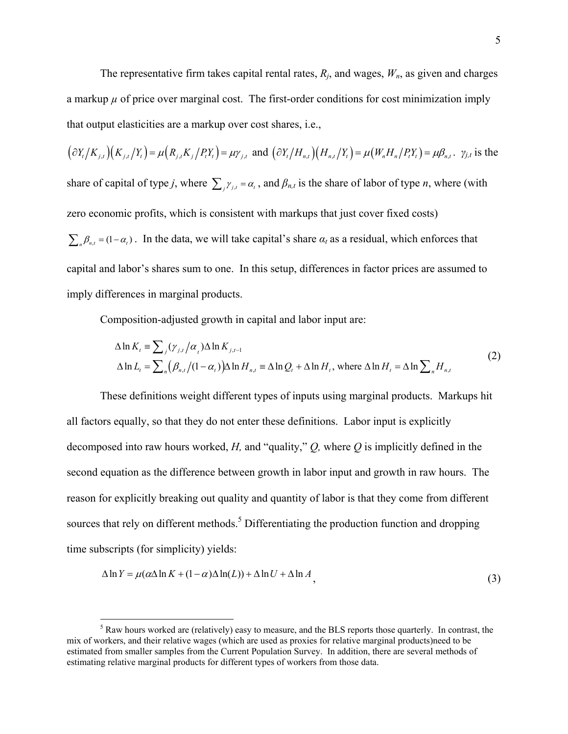The representative firm takes capital rental rates,  $R_i$ , and wages,  $W_n$ , as given and charges a markup  $\mu$  of price over marginal cost. The first-order conditions for cost minimization imply that output elasticities are a markup over cost shares, i.e.,

 $\left(\frac{\partial Y_t}{K_{i,t}}\right)(K_{i,t}/Y_t) = \mu(R_{i,t}K_{i}/P_tY_t) = \mu\gamma_{i,t}$  and  $\left(\frac{\partial Y_t}{H_{n,t}}\right)(H_{n,t}/Y_t) = \mu(W_nH_n/P_tY_t) = \mu\beta_{n,t}$ .  $\gamma_{j,t}$  is the share of capital of type *j*, where  $\sum_i \gamma_{i,t} = \alpha_i$ , and  $\beta_{n,t}$  is the share of labor of type *n*, where (with zero economic profits, which is consistent with markups that just cover fixed costs)  $\sum_{n} \beta_{n,t} = (1 - \alpha_t)$ . In the data, we will take capital's share  $\alpha_t$  as a residual, which enforces that capital and labor's shares sum to one. In this setup, differences in factor prices are assumed to imply differences in marginal products.

Composition-adjusted growth in capital and labor input are:

$$
\Delta \ln K_t = \sum_j (\gamma_{j,t} / \alpha_t) \Delta \ln K_{j,t-1}
$$
  
\n
$$
\Delta \ln L_t = \sum_n (\beta_{n,t} / (1 - \alpha_t)) \Delta \ln H_{n,t} = \Delta \ln Q_t + \Delta \ln H_t, \text{ where } \Delta \ln H_t = \Delta \ln \sum_n H_{n,t}
$$
 (2)

These definitions weight different types of inputs using marginal products. Markups hit all factors equally, so that they do not enter these definitions. Labor input is explicitly decomposed into raw hours worked, *H,* and "quality," *Q,* where *Q* is implicitly defined in the second equation as the difference between growth in labor input and growth in raw hours. The reason for explicitly breaking out quality and quantity of labor is that they come from different sources that rely on different methods.<sup>5</sup> Differentiating the production function and dropping time subscripts (for simplicity) yields:

$$
\Delta \ln Y = \mu (\alpha \Delta \ln K + (1 - \alpha) \Delta \ln(L)) + \Delta \ln U + \Delta \ln A,
$$
\n(3)

<sup>&</sup>lt;sup>5</sup> Raw hours worked are (relatively) easy to measure, and the BLS reports those quarterly. In contrast, the mix of workers, and their relative wages (which are used as proxies for relative marginal products)need to be estimated from smaller samples from the Current Population Survey. In addition, there are several methods of estimating relative marginal products for different types of workers from those data.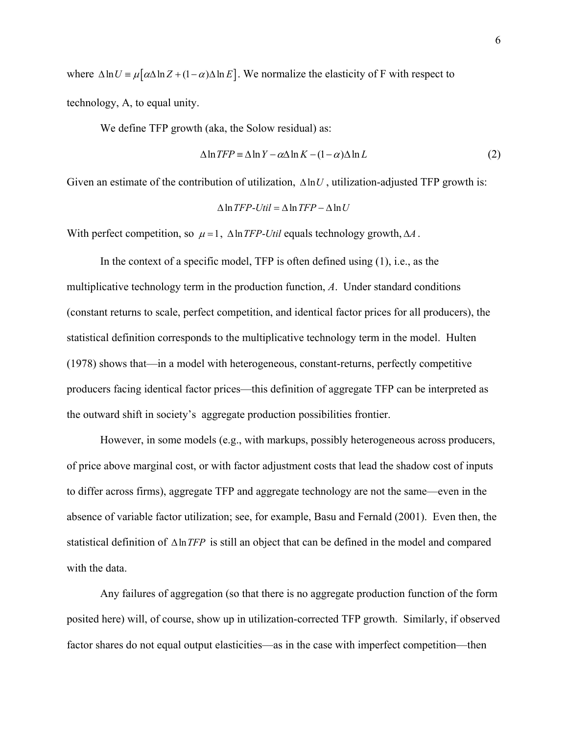where  $\Delta \ln U = \mu [\alpha \Delta \ln Z + (1 - \alpha) \Delta \ln E]$ . We normalize the elasticity of F with respect to technology, A, to equal unity.

We define TFP growth (aka, the Solow residual) as:

$$
\Delta \ln TFP \equiv \Delta \ln Y - \alpha \Delta \ln K - (1 - \alpha) \Delta \ln L \tag{2}
$$

Given an estimate of the contribution of utilization,  $\Delta \ln U$ , utilization-adjusted TFP growth is:

$$
\Delta \ln TFP-Util = \Delta \ln TFP - \Delta \ln U
$$

With perfect competition, so  $\mu = 1$ ,  $\Delta \ln TFP$ -*Util* equals technology growth,  $\Delta A$ .

In the context of a specific model, TFP is often defined using (1), i.e., as the multiplicative technology term in the production function, *A*. Under standard conditions (constant returns to scale, perfect competition, and identical factor prices for all producers), the statistical definition corresponds to the multiplicative technology term in the model. Hulten (1978) shows that—in a model with heterogeneous, constant-returns, perfectly competitive producers facing identical factor prices—this definition of aggregate TFP can be interpreted as the outward shift in society's aggregate production possibilities frontier.

However, in some models (e.g., with markups, possibly heterogeneous across producers, of price above marginal cost, or with factor adjustment costs that lead the shadow cost of inputs to differ across firms), aggregate TFP and aggregate technology are not the same—even in the absence of variable factor utilization; see, for example, Basu and Fernald (2001). Even then, the statistical definition of  $\Delta \ln TFP$  is still an object that can be defined in the model and compared with the data

Any failures of aggregation (so that there is no aggregate production function of the form posited here) will, of course, show up in utilization-corrected TFP growth. Similarly, if observed factor shares do not equal output elasticities—as in the case with imperfect competition—then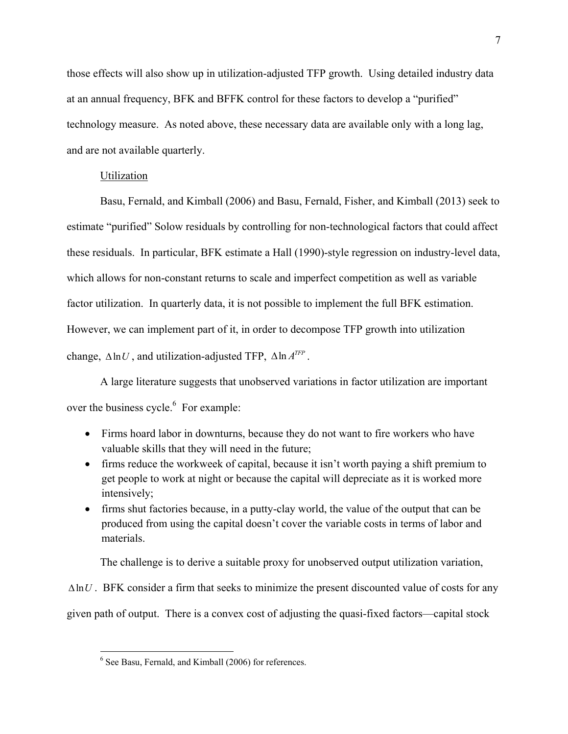those effects will also show up in utilization-adjusted TFP growth. Using detailed industry data at an annual frequency, BFK and BFFK control for these factors to develop a "purified" technology measure. As noted above, these necessary data are available only with a long lag, and are not available quarterly.

## Utilization

Basu, Fernald, and Kimball (2006) and Basu, Fernald, Fisher, and Kimball (2013) seek to estimate "purified" Solow residuals by controlling for non-technological factors that could affect these residuals. In particular, BFK estimate a Hall (1990)-style regression on industry-level data, which allows for non-constant returns to scale and imperfect competition as well as variable factor utilization. In quarterly data, it is not possible to implement the full BFK estimation. However, we can implement part of it, in order to decompose TFP growth into utilization change,  $\Delta \ln U$ , and utilization-adjusted TFP,  $\Delta \ln A^{TFP}$ .

A large literature suggests that unobserved variations in factor utilization are important over the business cycle. $<sup>6</sup>$  For example:</sup>

- Firms hoard labor in downturns, because they do not want to fire workers who have valuable skills that they will need in the future;
- firms reduce the workweek of capital, because it isn't worth paying a shift premium to get people to work at night or because the capital will depreciate as it is worked more intensively;
- firms shut factories because, in a putty-clay world, the value of the output that can be produced from using the capital doesn't cover the variable costs in terms of labor and materials.

The challenge is to derive a suitable proxy for unobserved output utilization variation,

 $\Delta$ ln*U* . BFK consider a firm that seeks to minimize the present discounted value of costs for any given path of output. There is a convex cost of adjusting the quasi-fixed factors—capital stock

<sup>&</sup>lt;sup>6</sup> See Basu, Fernald, and Kimball (2006) for references.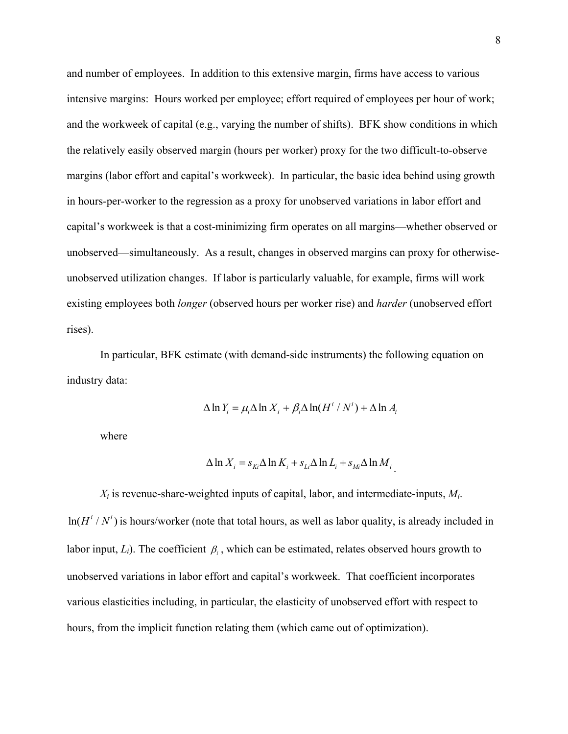and number of employees. In addition to this extensive margin, firms have access to various intensive margins: Hours worked per employee; effort required of employees per hour of work; and the workweek of capital (e.g., varying the number of shifts). BFK show conditions in which the relatively easily observed margin (hours per worker) proxy for the two difficult-to-observe margins (labor effort and capital's workweek). In particular, the basic idea behind using growth in hours-per-worker to the regression as a proxy for unobserved variations in labor effort and capital's workweek is that a cost-minimizing firm operates on all margins—whether observed or unobserved—simultaneously. As a result, changes in observed margins can proxy for otherwiseunobserved utilization changes. If labor is particularly valuable, for example, firms will work existing employees both *longer* (observed hours per worker rise) and *harder* (unobserved effort rises).

In particular, BFK estimate (with demand-side instruments) the following equation on industry data:

$$
\Delta \ln Y_i = \mu_i \Delta \ln X_i + \beta_i \Delta \ln(H^i / N^i) + \Delta \ln A_i
$$

where

$$
\Delta \ln X_i = s_{Ki} \Delta \ln K_i + s_{Li} \Delta \ln L_i + s_{Mi} \Delta \ln M_i
$$

 $X_i$  is revenue-share-weighted inputs of capital, labor, and intermediate-inputs,  $M_i$ .  $ln(H^{i}/N^{i})$  is hours/worker (note that total hours, as well as labor quality, is already included in labor input,  $L_i$ ). The coefficient  $\beta_i$ , which can be estimated, relates observed hours growth to unobserved variations in labor effort and capital's workweek. That coefficient incorporates various elasticities including, in particular, the elasticity of unobserved effort with respect to hours, from the implicit function relating them (which came out of optimization).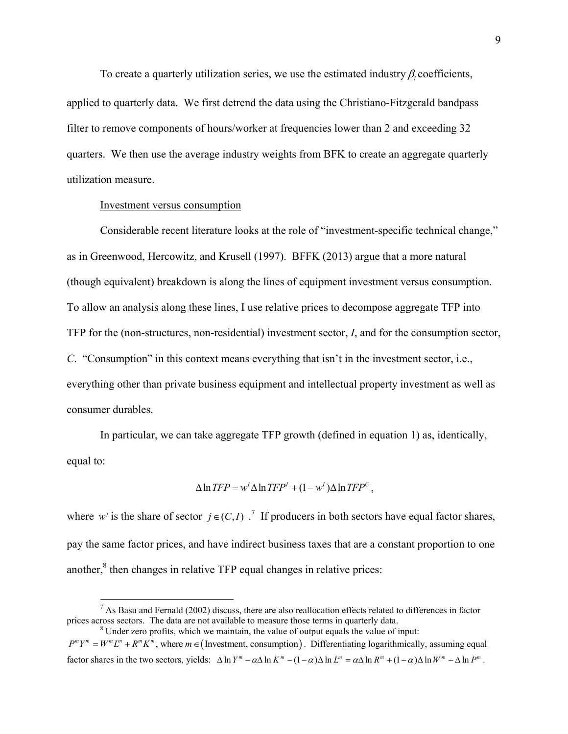To create a quarterly utilization series, we use the estimated industry  $\beta$  coefficients, applied to quarterly data. We first detrend the data using the Christiano-Fitzgerald bandpass filter to remove components of hours/worker at frequencies lower than 2 and exceeding 32 quarters. We then use the average industry weights from BFK to create an aggregate quarterly utilization measure.

#### Investment versus consumption

1

Considerable recent literature looks at the role of "investment-specific technical change," as in Greenwood, Hercowitz, and Krusell (1997). BFFK (2013) argue that a more natural (though equivalent) breakdown is along the lines of equipment investment versus consumption. To allow an analysis along these lines, I use relative prices to decompose aggregate TFP into TFP for the (non-structures, non-residential) investment sector, *I*, and for the consumption sector, *C*. "Consumption" in this context means everything that isn't in the investment sector, i.e., everything other than private business equipment and intellectual property investment as well as consumer durables.

In particular, we can take aggregate TFP growth (defined in equation 1) as, identically, equal to:

$$
\Delta \ln TFP = w^l \Delta \ln TFP^l + (1 - w^l) \Delta \ln TFP^c,
$$

where  $w^j$  is the share of sector  $j \in (C, I)$ .<sup>7</sup> If producers in both sectors have equal factor shares, pay the same factor prices, and have indirect business taxes that are a constant proportion to one another, $<sup>8</sup>$  then changes in relative TFP equal changes in relative prices:</sup>

<sup>8</sup> Under zero profits, which we maintain, the value of output equals the value of input:  $P^m Y^m = W^m L^m + R^m K^m$ , where  $m \in ($  Investment, consumption  $)$ . Differentiating logarithmically, assuming equal factor shares in the two sectors, yields:  $\Delta \ln Y^m - \alpha \Delta \ln K^m - (1 - \alpha) \Delta \ln L^m = \alpha \Delta \ln R^m + (1 - \alpha) \Delta \ln W^m - \Delta \ln P^m$ .

 $<sup>7</sup>$  As Basu and Fernald (2002) discuss, there are also reallocation effects related to differences in factor</sup> prices across sectors. The data are not available to measure those terms in quarterly data. 8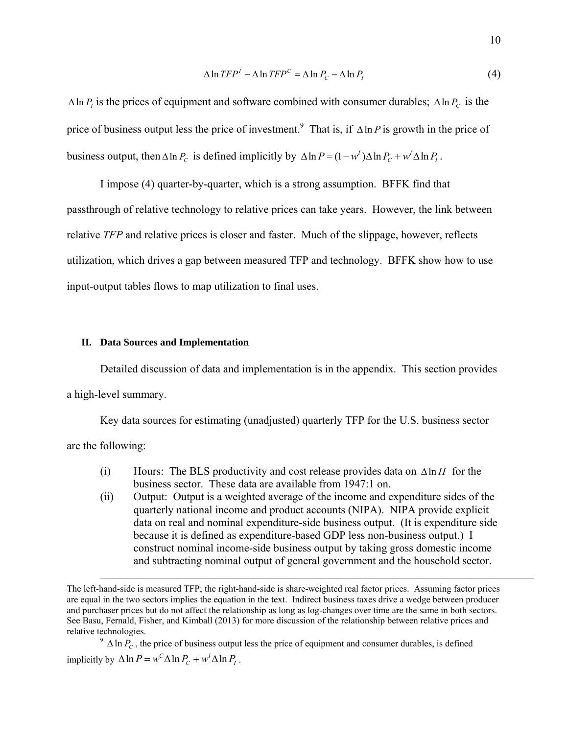$$
\Delta \ln TFP^1 - \Delta \ln TFP^C = \Delta \ln P_C - \Delta \ln P_I \tag{4}
$$

 $\Delta \ln P$  is the prices of equipment and software combined with consumer durables;  $\Delta \ln P_C$  is the price of business output less the price of investment.<sup>9</sup> That is, if  $\Delta \ln P$  is growth in the price of business output, then  $\Delta \ln P_c$  is defined implicitly by  $\Delta \ln P = (1 - w^l) \Delta \ln P_c + w^l \Delta \ln P_l$ .

I impose (4) quarter-by-quarter, which is a strong assumption. BFFK find that passthrough of relative technology to relative prices can take years. However, the link between relative *TFP* and relative prices is closer and faster. Much of the slippage, however, reflects utilization, which drives a gap between measured TFP and technology. BFFK show how to use input-output tables flows to map utilization to final uses.

#### **II. Data Sources and Implementation**

Detailed discussion of data and implementation is in the appendix. This section provides a high-level summary.

Key data sources for estimating (unadjusted) quarterly TFP for the U.S. business sector are the following:

- (i) Hours: The BLS productivity and cost release provides data on  $\Delta \ln H$  for the
	- business sector. These data are available from 1947:1 on. (ii) Output: Output is a weighted average of the income and expenditure sides of the quarterly national income and product accounts (NIPA). NIPA provide explicit data on real and nominal expenditure-side business output. (It is expenditure side because it is defined as expenditure-based GDP less non-business output.) I construct nominal income-side business output by taking gross domestic income and subtracting nominal output of general government and the household sector.

implicitly by  $\Delta \ln P = w^C \Delta \ln P_C + w^I \Delta \ln P_I$ .

The left-hand-side is measured TFP; the right-hand-side is share-weighted real factor prices. Assuming factor prices are equal in the two sectors implies the equation in the text. Indirect business taxes drive a wedge between producer and purchaser prices but do not affect the relationship as long as log-changes over time are the same in both sectors. See Basu, Fernald, Fisher, and Kimball (2013) for more discussion of the relationship between relative prices and relative technologies.<br><sup>9</sup>  $\Delta \ln P_c$ , the price of business output less the price of equipment and consumer durables, is defined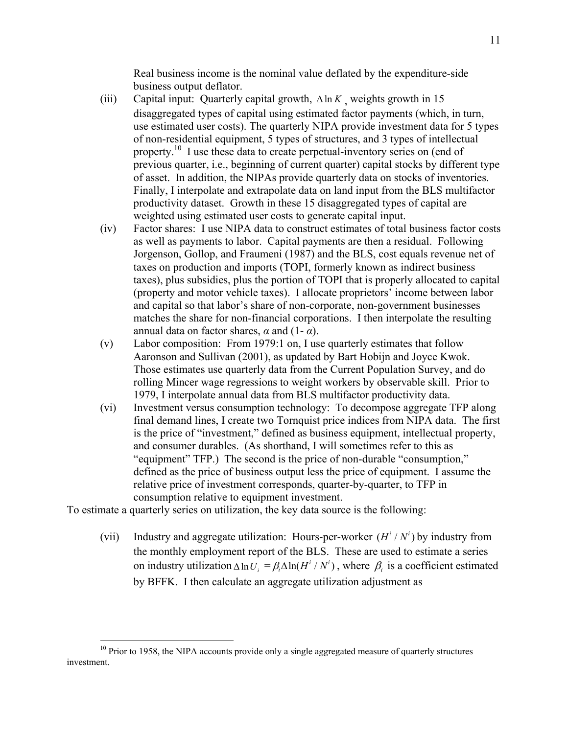Real business income is the nominal value deflated by the expenditure-side business output deflator.

- (iii) Capital input: Quarterly capital growth,  $\Delta \ln K$  weights growth in 15 disaggregated types of capital using estimated factor payments (which, in turn, use estimated user costs). The quarterly NIPA provide investment data for 5 types of non-residential equipment, 5 types of structures, and 3 types of intellectual property.<sup>10</sup> I use these data to create perpetual-inventory series on (end of previous quarter, i.e., beginning of current quarter) capital stocks by different type of asset. In addition, the NIPAs provide quarterly data on stocks of inventories. Finally, I interpolate and extrapolate data on land input from the BLS multifactor productivity dataset. Growth in these 15 disaggregated types of capital are weighted using estimated user costs to generate capital input.
- (iv) Factor shares: I use NIPA data to construct estimates of total business factor costs as well as payments to labor. Capital payments are then a residual. Following Jorgenson, Gollop, and Fraumeni (1987) and the BLS, cost equals revenue net of taxes on production and imports (TOPI, formerly known as indirect business taxes), plus subsidies, plus the portion of TOPI that is properly allocated to capital (property and motor vehicle taxes). I allocate proprietors' income between labor and capital so that labor's share of non-corporate, non-government businesses matches the share for non-financial corporations. I then interpolate the resulting annual data on factor shares,  $\alpha$  and (1- $\alpha$ ).
- (v) Labor composition: From 1979:1 on, I use quarterly estimates that follow Aaronson and Sullivan (2001), as updated by Bart Hobijn and Joyce Kwok. Those estimates use quarterly data from the Current Population Survey, and do rolling Mincer wage regressions to weight workers by observable skill. Prior to 1979, I interpolate annual data from BLS multifactor productivity data.
- (vi) Investment versus consumption technology: To decompose aggregate TFP along final demand lines, I create two Tornquist price indices from NIPA data. The first is the price of "investment," defined as business equipment, intellectual property, and consumer durables. (As shorthand, I will sometimes refer to this as "equipment" TFP.) The second is the price of non-durable "consumption," defined as the price of business output less the price of equipment. I assume the relative price of investment corresponds, quarter-by-quarter, to TFP in consumption relative to equipment investment.

To estimate a quarterly series on utilization, the key data source is the following:

 $\overline{a}$ 

(vii) Industry and aggregate utilization: Hours-per-worker  $(H^i/N^i)$  by industry from the monthly employment report of the BLS. These are used to estimate a series on industry utilization  $\Delta \ln U_i = \beta_i \Delta \ln (H^i / N^i)$ , where  $\beta_i$  is a coefficient estimated by BFFK. I then calculate an aggregate utilization adjustment as

 $10$  Prior to 1958, the NIPA accounts provide only a single aggregated measure of quarterly structures investment.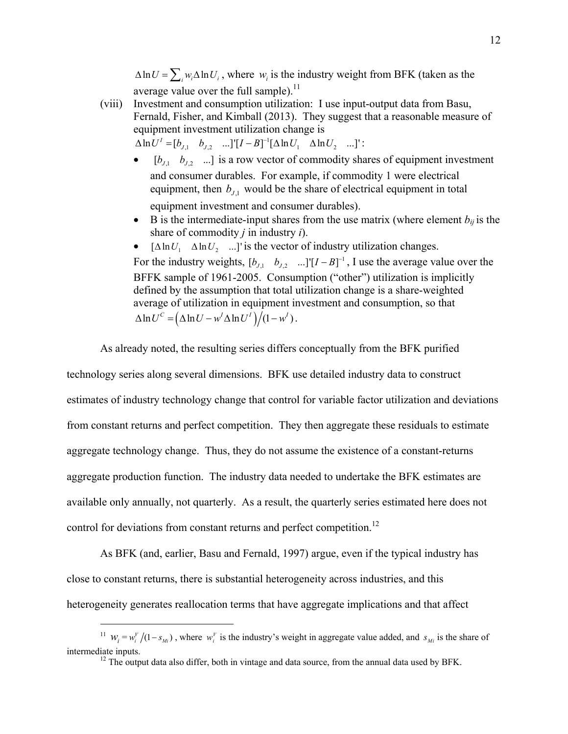$\Delta \ln U = \sum_{i} w_{i} \Delta \ln U_{i}$ , where  $w_{i}$  is the industry weight from BFK (taken as the average value over the full sample).<sup>11</sup>

- (viii) Investment and consumption utilization: I use input-output data from Basu, Fernald, Fisher, and Kimball (2013). They suggest that a reasonable measure of equipment investment utilization change is  $\Delta \ln U^I = [b_{J,1} \quad b_{J,2} \quad ...]^{T} [I - B]^{-1} [\Delta \ln U_1 \quad \Delta \ln U_2 \quad ...]^{T}$ 
	- $[b_{j_1}, b_{j_2}, \dots]$  is a row vector of commodity shares of equipment investment and consumer durables. For example, if commodity 1 were electrical equipment, then  $b_{11}$  would be the share of electrical equipment in total equipment investment and consumer durables).
	- B is the intermediate-input shares from the use matrix (where element  $b_{ii}$  is the share of commodity *j* in industry *i*).
	- $[\Delta \ln U_1 \quad \Delta \ln U_2 \quad ...]$ ' is the vector of industry utilization changes. For the industry weights,  $[b_{J,1} \quad b_{J,2} \quad ...]^{T} [I - B]^{-1}$ , I use the average value over the BFFK sample of 1961-2005. Consumption ("other") utilization is implicitly defined by the assumption that total utilization change is a share-weighted average of utilization in equipment investment and consumption, so that  $\Delta \ln U^{c} = \left(\Delta \ln U - w^{I} \Delta \ln U^{I}\right) \big/(1 - w^{I}).$

As already noted, the resulting series differs conceptually from the BFK purified

technology series along several dimensions. BFK use detailed industry data to construct estimates of industry technology change that control for variable factor utilization and deviations from constant returns and perfect competition. They then aggregate these residuals to estimate aggregate technology change. Thus, they do not assume the existence of a constant-returns aggregate production function. The industry data needed to undertake the BFK estimates are available only annually, not quarterly. As a result, the quarterly series estimated here does not control for deviations from constant returns and perfect competition.<sup>12</sup>

As BFK (and, earlier, Basu and Fernald, 1997) argue, even if the typical industry has close to constant returns, there is substantial heterogeneity across industries, and this heterogeneity generates reallocation terms that have aggregate implications and that affect

1

<sup>&</sup>lt;sup>11</sup>  $W_i = w_i^V / (1 - s_{Mi})$ , where  $w_i^V$  is the industry's weight in aggregate value added, and  $s_{Mi}$  is the share of intermediate inputs. 12 The output data also differ, both in vintage and data source, from the annual data used by BFK.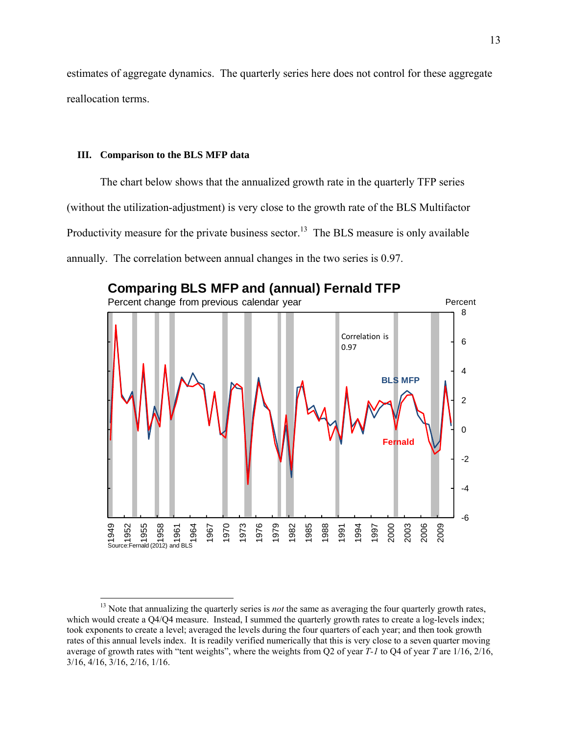estimates of aggregate dynamics. The quarterly series here does not control for these aggregate reallocation terms.

### **III. Comparison to the BLS MFP data**

 $\overline{a}$ 

The chart below shows that the annualized growth rate in the quarterly TFP series (without the utilization-adjustment) is very close to the growth rate of the BLS Multifactor Productivity measure for the private business sector.<sup>13</sup> The BLS measure is only available annually. The correlation between annual changes in the two series is 0.97.



<sup>&</sup>lt;sup>13</sup> Note that annualizing the quarterly series is *not* the same as averaging the four quarterly growth rates, which would create a Q4/Q4 measure. Instead, I summed the quarterly growth rates to create a log-levels index; took exponents to create a level; averaged the levels during the four quarters of each year; and then took growth rates of this annual levels index. It is readily verified numerically that this is very close to a seven quarter moving average of growth rates with "tent weights", where the weights from Q2 of year *T-1* to Q4 of year *T* are 1/16, 2/16, 3/16, 4/16, 3/16, 2/16, 1/16.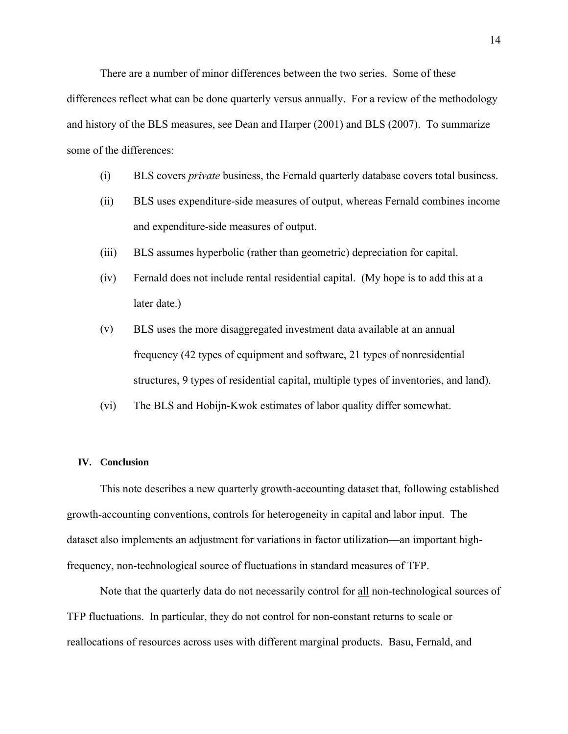There are a number of minor differences between the two series. Some of these differences reflect what can be done quarterly versus annually. For a review of the methodology and history of the BLS measures, see Dean and Harper (2001) and BLS (2007). To summarize some of the differences:

- (i) BLS covers *private* business, the Fernald quarterly database covers total business.
- (ii) BLS uses expenditure-side measures of output, whereas Fernald combines income and expenditure-side measures of output.
- (iii) BLS assumes hyperbolic (rather than geometric) depreciation for capital.
- (iv) Fernald does not include rental residential capital. (My hope is to add this at a later date.)
- (v) BLS uses the more disaggregated investment data available at an annual frequency (42 types of equipment and software, 21 types of nonresidential structures, 9 types of residential capital, multiple types of inventories, and land).
- (vi) The BLS and Hobijn-Kwok estimates of labor quality differ somewhat.

#### **IV. Conclusion**

This note describes a new quarterly growth-accounting dataset that, following established growth-accounting conventions, controls for heterogeneity in capital and labor input. The dataset also implements an adjustment for variations in factor utilization—an important highfrequency, non-technological source of fluctuations in standard measures of TFP.

Note that the quarterly data do not necessarily control for all non-technological sources of TFP fluctuations. In particular, they do not control for non-constant returns to scale or reallocations of resources across uses with different marginal products. Basu, Fernald, and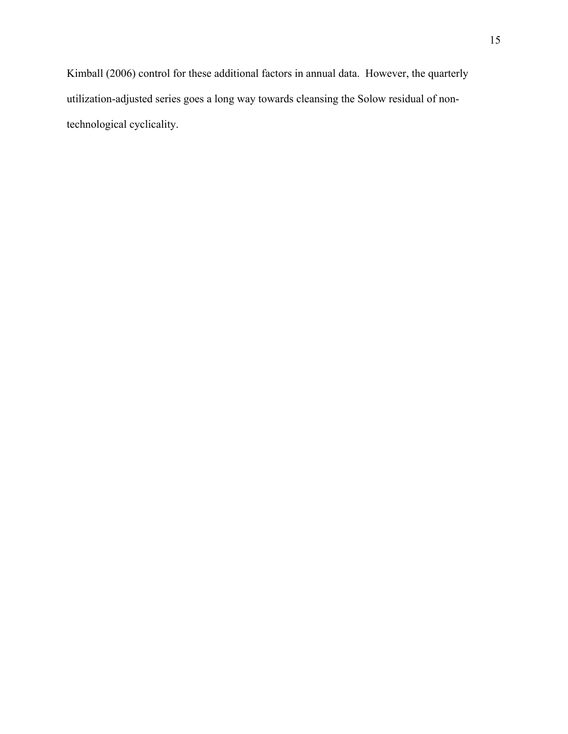Kimball (2006) control for these additional factors in annual data. However, the quarterly utilization-adjusted series goes a long way towards cleansing the Solow residual of nontechnological cyclicality.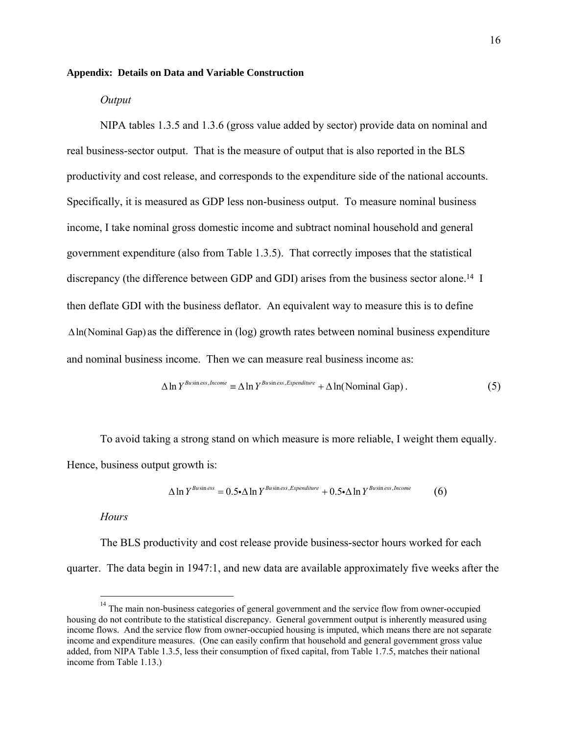#### **Appendix: Details on Data and Variable Construction**

#### *Output*

NIPA tables 1.3.5 and 1.3.6 (gross value added by sector) provide data on nominal and real business-sector output. That is the measure of output that is also reported in the BLS productivity and cost release, and corresponds to the expenditure side of the national accounts. Specifically, it is measured as GDP less non-business output. To measure nominal business income, I take nominal gross domestic income and subtract nominal household and general government expenditure (also from Table 1.3.5). That correctly imposes that the statistical discrepancy (the difference between GDP and GDI) arises from the business sector alone.<sup>14</sup> I then deflate GDI with the business deflator. An equivalent way to measure this is to define  $\Delta$ ln(Nominal Gap) as the difference in (log) growth rates between nominal business expenditure and nominal business income. Then we can measure real business income as:

$$
\Delta \ln Y^{Busines, \text{Income}} \equiv \Delta \ln Y^{Busines, \text{Expenditure}} + \Delta \ln(\text{Nominal Gap}). \tag{5}
$$

To avoid taking a strong stand on which measure is more reliable, I weight them equally. Hence, business output growth is:

$$
\Delta \ln Y^{Business} = 0.5 \cdot \Delta \ln Y^{Busins, Expenditure} + 0.5 \cdot \Delta \ln Y^{Busins, Income}
$$
 (6)

## *Hours*

 $\overline{a}$ 

The BLS productivity and cost release provide business-sector hours worked for each quarter. The data begin in 1947:1, and new data are available approximately five weeks after the

 $14$  The main non-business categories of general government and the service flow from owner-occupied housing do not contribute to the statistical discrepancy. General government output is inherently measured using income flows. And the service flow from owner-occupied housing is imputed, which means there are not separate income and expenditure measures. (One can easily confirm that household and general government gross value added, from NIPA Table 1.3.5, less their consumption of fixed capital, from Table 1.7.5, matches their national income from Table 1.13.)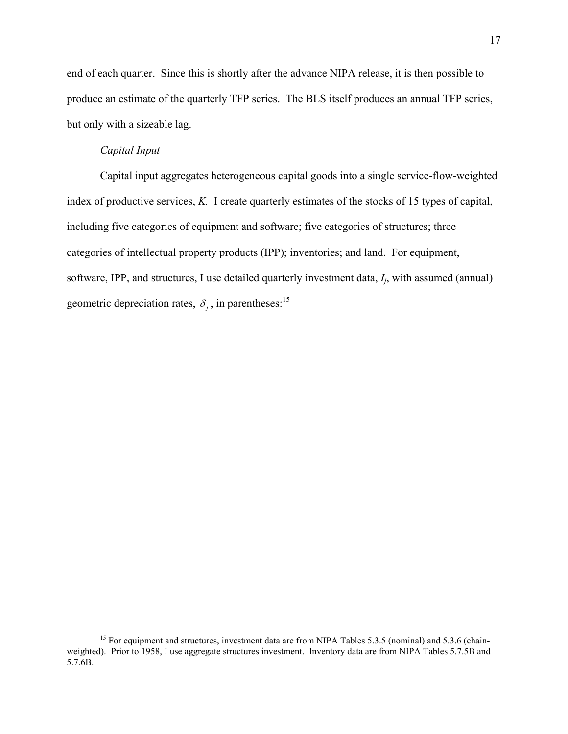end of each quarter. Since this is shortly after the advance NIPA release, it is then possible to produce an estimate of the quarterly TFP series. The BLS itself produces an annual TFP series, but only with a sizeable lag.

# *Capital Input*

1

Capital input aggregates heterogeneous capital goods into a single service-flow-weighted index of productive services, *K.* I create quarterly estimates of the stocks of 15 types of capital, including five categories of equipment and software; five categories of structures; three categories of intellectual property products (IPP); inventories; and land. For equipment, software, IPP, and structures, I use detailed quarterly investment data, *Ij*, with assumed (annual) geometric depreciation rates,  $\delta_i$ , in parentheses:<sup>15</sup>

<sup>&</sup>lt;sup>15</sup> For equipment and structures, investment data are from NIPA Tables 5.3.5 (nominal) and 5.3.6 (chainweighted). Prior to 1958, I use aggregate structures investment. Inventory data are from NIPA Tables 5.7.5B and 5.7.6B.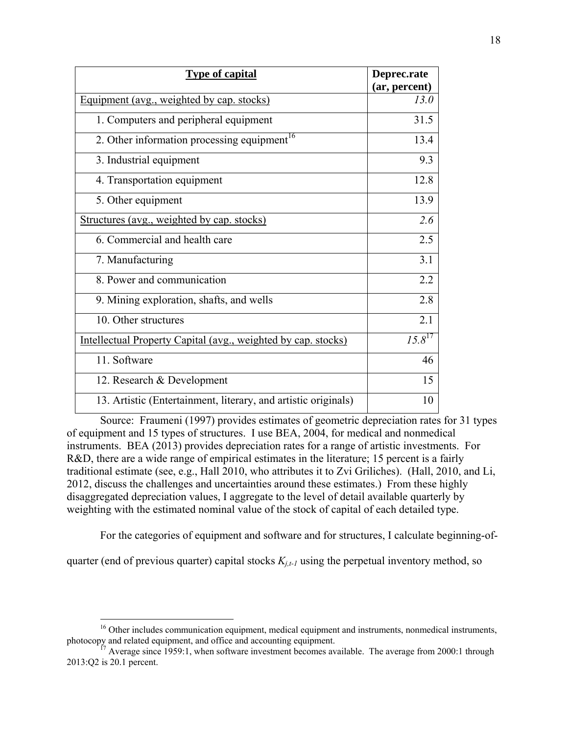| <b>Type of capital</b>                                               | Deprec.rate      |
|----------------------------------------------------------------------|------------------|
|                                                                      | (ar, percent)    |
| Equipment (avg., weighted by cap. stocks)                            | 13.0             |
| 1. Computers and peripheral equipment                                | 31.5             |
| 2. Other information processing equipment <sup>16</sup>              | 13.4             |
| 3. Industrial equipment                                              | 9.3              |
| 4. Transportation equipment                                          | 12.8             |
| 5. Other equipment                                                   | 13.9             |
| <u>Structures (avg., weighted by cap. stocks)</u>                    | 2.6              |
| 6. Commercial and health care                                        | 2.5              |
| 7. Manufacturing                                                     | 3.1              |
| 8. Power and communication                                           | 2.2              |
| 9. Mining exploration, shafts, and wells                             | $\overline{2.8}$ |
| 10. Other structures                                                 | 2.1              |
| <u>Intellectual Property Capital (avg., weighted by cap. stocks)</u> | $15.8^{17}$      |
| 11. Software                                                         | 46               |
| 12. Research & Development                                           | 15               |
| 13. Artistic (Entertainment, literary, and artistic originals)       | 10               |

Source: Fraumeni (1997) provides estimates of geometric depreciation rates for 31 types of equipment and 15 types of structures. I use BEA, 2004, for medical and nonmedical instruments. BEA (2013) provides depreciation rates for a range of artistic investments. For R&D, there are a wide range of empirical estimates in the literature; 15 percent is a fairly traditional estimate (see, e.g., Hall 2010, who attributes it to Zvi Griliches). (Hall, 2010, and Li, 2012, discuss the challenges and uncertainties around these estimates.) From these highly disaggregated depreciation values, I aggregate to the level of detail available quarterly by weighting with the estimated nominal value of the stock of capital of each detailed type.

For the categories of equipment and software and for structures, I calculate beginning-of-

quarter (end of previous quarter) capital stocks  $K_{i,t-1}$  using the perpetual inventory method, so

<sup>&</sup>lt;sup>16</sup> Other includes communication equipment, medical equipment and instruments, nonmedical instruments, photocopy and related equipment, and office and accounting equipment.<br><sup>17</sup> Average since 1959:1, when software investment becomes available. The average from 2000:1 through

<sup>2013:</sup>Q2 is 20.1 percent.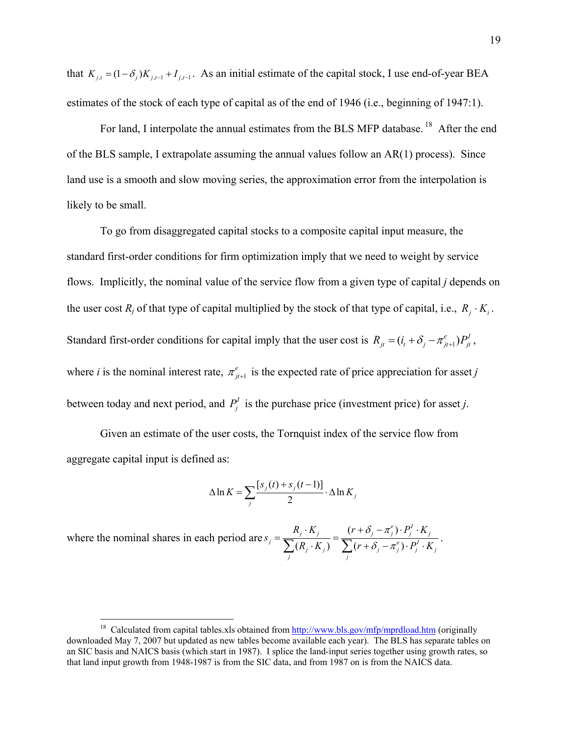that  $K_{j,t} = (1 - \delta_j) K_{j,t-1} + I_{j,t-1}$ . As an initial estimate of the capital stock, I use end-of-year BEA estimates of the stock of each type of capital as of the end of 1946 (i.e., beginning of 1947:1).

For land, I interpolate the annual estimates from the BLS MFP database.<sup>18</sup> After the end of the BLS sample, I extrapolate assuming the annual values follow an AR(1) process). Since land use is a smooth and slow moving series, the approximation error from the interpolation is likely to be small.

To go from disaggregated capital stocks to a composite capital input measure, the standard first-order conditions for firm optimization imply that we need to weight by service flows. Implicitly, the nominal value of the service flow from a given type of capital *j* depends on the user cost  $R_i$  of that type of capital multiplied by the stock of that type of capital, i.e.,  $R_i \cdot K_i$ . Standard first-order conditions for capital imply that the user cost is  $R_{it} = (i_t + \delta_j - \pi_{j(t+1)}^e) P_{it}^t$ , where *i* is the nominal interest rate,  $\pi^e_{j}$  is the expected rate of price appreciation for asset *j* between today and next period, and  $P_j^I$  is the purchase price (investment price) for asset *j*.

Given an estimate of the user costs, the Tornquist index of the service flow from aggregate capital input is defined as:

$$
\Delta \ln K = \sum_{j} \frac{[s_j(t) + s_j(t-1)]}{2} \cdot \Delta \ln K_j
$$

where the nominal shares in each period are  $s_i = \frac{R_j \cdot K_j}{\sum_{i=1}^n K_i} = \frac{(r + \delta_j - \pi_j^e)}{\sum_{i=1}^n K_i}$  $(R_i \cdot K_j)$   $\sum (r + \delta_i - \pi_i^e)$  $(r + \delta_j - \pi_j^e) \cdot P_j^I \cdot K_j$  $j = \sum_j (R_j \cdot K_j)$   $\sum_j (r + \delta_j - \pi_j^e) \cdot P_j^I \cdot K_j$  $R_i \cdot K_i$   $(r + \delta_i - \pi_i^e) \cdot P_i^I \cdot K$ *s*  $R_i \cdot K_j$ )  $\sum (r + \delta_i - \pi_i^e) \cdot P_i^I \cdot K$  $\delta$  :  $-\pi$  $=\frac{R_j\cdot K_j}{\sum(R_j\cdot K_j)} = \frac{(r+\delta_j-\pi_j^e)\cdot P_j^I\cdot K_j}{\sum(r+\delta_j-\pi_j^e)\cdot P_j^I\cdot K_j}.$ 

<sup>&</sup>lt;sup>18</sup> Calculated from capital tables.xls obtained from  $\frac{http://www.bls.gov/mfp/mprdload.htm}{http://www.bls.gov/mfp/mprdload.htm}$  (originally downloaded May 7, 2007 but updated as new tables become available each year). The BLS has separate tables on an SIC basis and NAICS basis (which start in 1987). I splice the land-input series together using growth rates, so that land input growth from 1948-1987 is from the SIC data, and from 1987 on is from the NAICS data.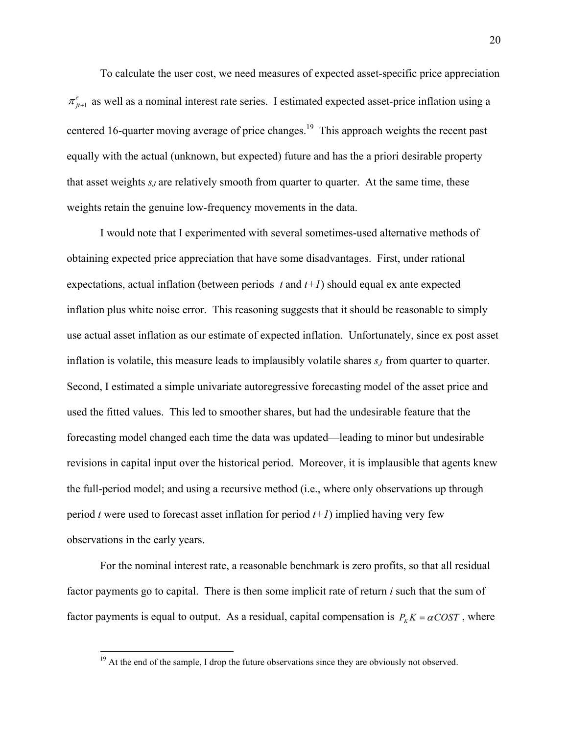To calculate the user cost, we need measures of expected asset-specific price appreciation  $\pi^e_{j}$  as well as a nominal interest rate series. I estimated expected asset-price inflation using a centered 16-quarter moving average of price changes.<sup>19</sup> This approach weights the recent past equally with the actual (unknown, but expected) future and has the a priori desirable property that asset weights *s<sub>J</sub>* are relatively smooth from quarter to quarter. At the same time, these weights retain the genuine low-frequency movements in the data.

I would note that I experimented with several sometimes-used alternative methods of obtaining expected price appreciation that have some disadvantages. First, under rational expectations, actual inflation (between periods  $t$  and  $t+1$ ) should equal ex ante expected inflation plus white noise error. This reasoning suggests that it should be reasonable to simply use actual asset inflation as our estimate of expected inflation. Unfortunately, since ex post asset inflation is volatile, this measure leads to implausibly volatile shares *s<sub>J</sub>* from quarter to quarter. Second, I estimated a simple univariate autoregressive forecasting model of the asset price and used the fitted values. This led to smoother shares, but had the undesirable feature that the forecasting model changed each time the data was updated—leading to minor but undesirable revisions in capital input over the historical period. Moreover, it is implausible that agents knew the full-period model; and using a recursive method (i.e., where only observations up through period *t* were used to forecast asset inflation for period *t+1*) implied having very few observations in the early years.

For the nominal interest rate, a reasonable benchmark is zero profits, so that all residual factor payments go to capital. There is then some implicit rate of return *i* such that the sum of factor payments is equal to output. As a residual, capital compensation is  $P_K K = \alpha COST$ , where

 $19<sup>19</sup>$  At the end of the sample, I drop the future observations since they are obviously not observed.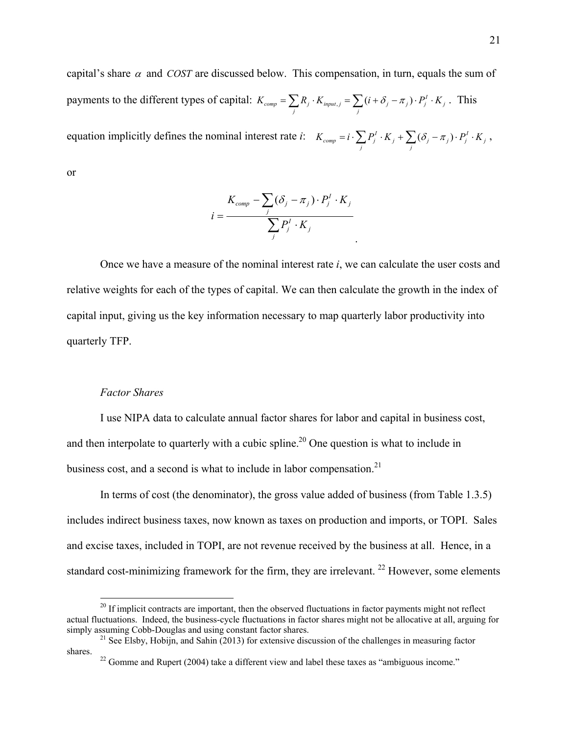capital's share  $\alpha$  and *COST* are discussed below. This compensation, in turn, equals the sum of payments to the different types of capital:  $K_{comp} = \sum_j R_j \cdot K_{input,j} = \sum_j (i + \delta_j - \pi_j) \cdot P_j^I \cdot K_j$ . This equation implicitly defines the nominal interest rate *i*:  $K_{comp} = i \cdot \sum_j P_j^I \cdot K_j + \sum_j (\delta_j - \pi_j) \cdot P_j^I \cdot K_j$ , or

$$
i = \frac{K_{comp} - \sum_{j} (\delta_j - \pi_j) \cdot P_j^I \cdot K_j}{\sum_{j} P_j^I \cdot K_j}
$$

Once we have a measure of the nominal interest rate *i*, we can calculate the user costs and relative weights for each of the types of capital. We can then calculate the growth in the index of capital input, giving us the key information necessary to map quarterly labor productivity into quarterly TFP.

## *Factor Shares*

 $\overline{a}$ 

I use NIPA data to calculate annual factor shares for labor and capital in business cost, and then interpolate to quarterly with a cubic spline.<sup>20</sup> One question is what to include in business cost, and a second is what to include in labor compensation.<sup>21</sup>

In terms of cost (the denominator), the gross value added of business (from Table 1.3.5) includes indirect business taxes, now known as taxes on production and imports, or TOPI. Sales and excise taxes, included in TOPI, are not revenue received by the business at all. Hence, in a standard cost-minimizing framework for the firm, they are irrelevant.  $22$  However, some elements

 $20$  If implicit contracts are important, then the observed fluctuations in factor payments might not reflect actual fluctuations. Indeed, the business-cycle fluctuations in factor shares might not be allocative at all, arguing for simply assuming Cobb-Douglas and using constant factor shares.

<sup>&</sup>lt;sup>21</sup> See Elsby, Hobijn, and Sahin (2013) for extensive discussion of the challenges in measuring factor shares.<br><sup>22</sup> Gomme and Rupert (2004) take a different view and label these taxes as "ambiguous income."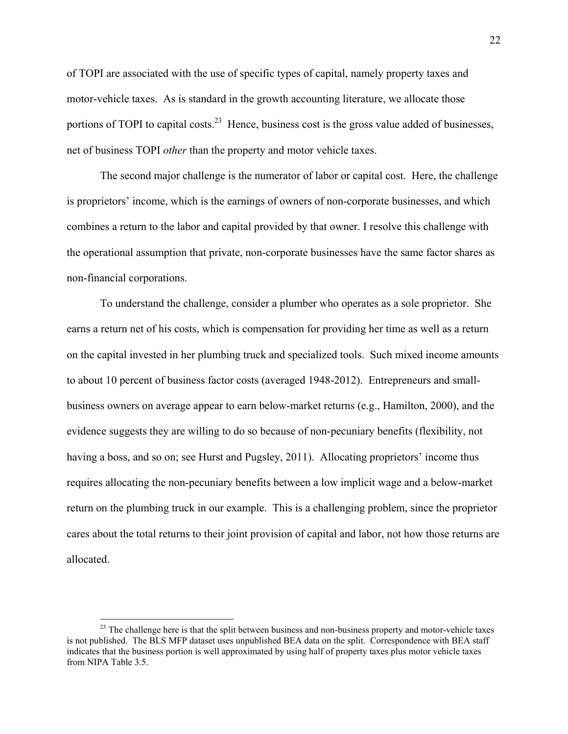of TOPI are associated with the use of specific types of capital, namely property taxes and motor-vehicle taxes. As is standard in the growth accounting literature, we allocate those portions of TOPI to capital costs.<sup>23</sup> Hence, business cost is the gross value added of businesses, net of business TOPI *other* than the property and motor vehicle taxes.

The second major challenge is the numerator of labor or capital cost. Here, the challenge is proprietors' income, which is the earnings of owners of non-corporate businesses, and which combines a return to the labor and capital provided by that owner. I resolve this challenge with the operational assumption that private, non-corporate businesses have the same factor shares as non-financial corporations.

To understand the challenge, consider a plumber who operates as a sole proprietor. She earns a return net of his costs, which is compensation for providing her time as well as a return on the capital invested in her plumbing truck and specialized tools. Such mixed income amounts to about 10 percent of business factor costs (averaged 1948-2012). Entrepreneurs and smallbusiness owners on average appear to earn below-market returns (e.g., Hamilton, 2000), and the evidence suggests they are willing to do so because of non-pecuniary benefits (flexibility, not having a boss, and so on; see Hurst and Pugsley, 2011). Allocating proprietors' income thus requires allocating the non-pecuniary benefits between a low implicit wage and a below-market return on the plumbing truck in our example. This is a challenging problem, since the proprietor cares about the total returns to their joint provision of capital and labor, not how those returns are allocated.

<u>.</u>

 $2<sup>23</sup>$  The challenge here is that the split between business and non-business property and motor-vehicle taxes is not published. The BLS MFP dataset uses unpublished BEA data on the split. Correspondence with BEA staff indicates that the business portion is well approximated by using half of property taxes plus motor vehicle taxes from NIPA Table 3.5.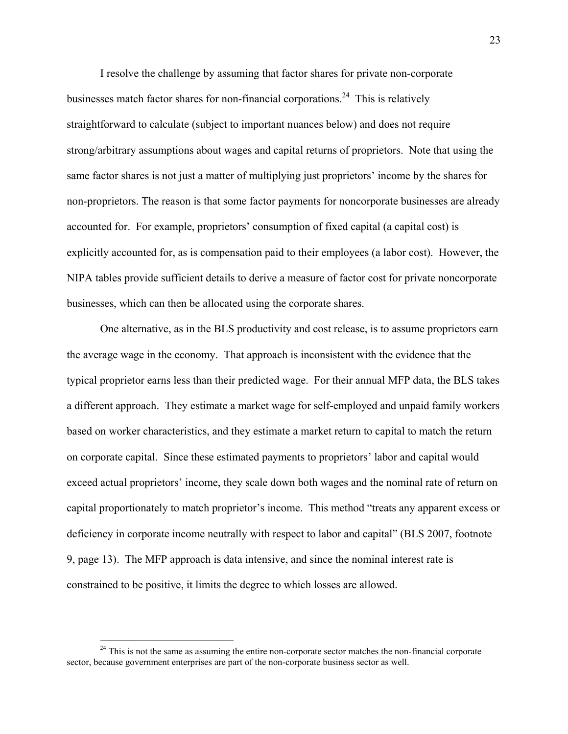I resolve the challenge by assuming that factor shares for private non-corporate businesses match factor shares for non-financial corporations.<sup>24</sup> This is relatively straightforward to calculate (subject to important nuances below) and does not require strong/arbitrary assumptions about wages and capital returns of proprietors. Note that using the same factor shares is not just a matter of multiplying just proprietors' income by the shares for non-proprietors. The reason is that some factor payments for noncorporate businesses are already accounted for. For example, proprietors' consumption of fixed capital (a capital cost) is explicitly accounted for, as is compensation paid to their employees (a labor cost). However, the NIPA tables provide sufficient details to derive a measure of factor cost for private noncorporate businesses, which can then be allocated using the corporate shares.

One alternative, as in the BLS productivity and cost release, is to assume proprietors earn the average wage in the economy. That approach is inconsistent with the evidence that the typical proprietor earns less than their predicted wage. For their annual MFP data, the BLS takes a different approach. They estimate a market wage for self-employed and unpaid family workers based on worker characteristics, and they estimate a market return to capital to match the return on corporate capital. Since these estimated payments to proprietors' labor and capital would exceed actual proprietors' income, they scale down both wages and the nominal rate of return on capital proportionately to match proprietor's income. This method "treats any apparent excess or deficiency in corporate income neutrally with respect to labor and capital" (BLS 2007, footnote 9, page 13). The MFP approach is data intensive, and since the nominal interest rate is constrained to be positive, it limits the degree to which losses are allowed.

 $24$  This is not the same as assuming the entire non-corporate sector matches the non-financial corporate sector, because government enterprises are part of the non-corporate business sector as well.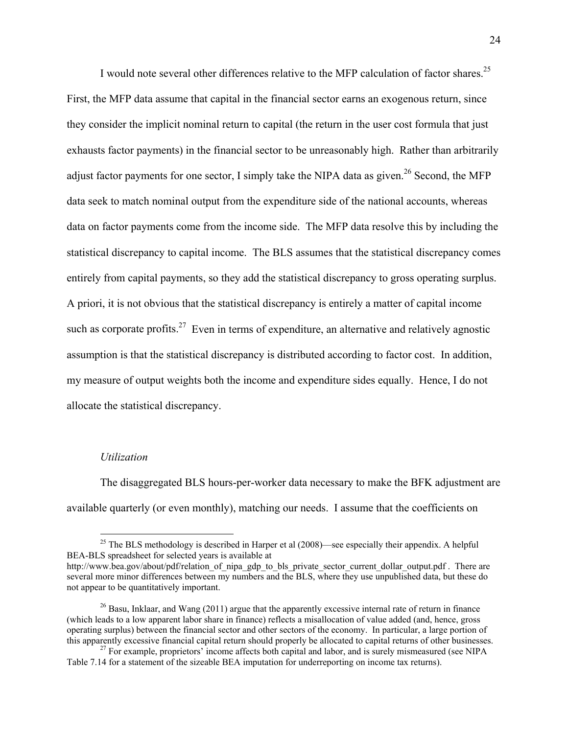I would note several other differences relative to the MFP calculation of factor shares.<sup>25</sup> First, the MFP data assume that capital in the financial sector earns an exogenous return, since they consider the implicit nominal return to capital (the return in the user cost formula that just exhausts factor payments) in the financial sector to be unreasonably high. Rather than arbitrarily adjust factor payments for one sector, I simply take the NIPA data as given.<sup>26</sup> Second, the MFP data seek to match nominal output from the expenditure side of the national accounts, whereas data on factor payments come from the income side. The MFP data resolve this by including the statistical discrepancy to capital income. The BLS assumes that the statistical discrepancy comes entirely from capital payments, so they add the statistical discrepancy to gross operating surplus. A priori, it is not obvious that the statistical discrepancy is entirely a matter of capital income such as corporate profits.<sup>27</sup> Even in terms of expenditure, an alternative and relatively agnostic assumption is that the statistical discrepancy is distributed according to factor cost. In addition, my measure of output weights both the income and expenditure sides equally. Hence, I do not allocate the statistical discrepancy.

#### *Utilization*

 $\overline{a}$ 

The disaggregated BLS hours-per-worker data necessary to make the BFK adjustment are available quarterly (or even monthly), matching our needs. I assume that the coefficients on

<sup>&</sup>lt;sup>25</sup> The BLS methodology is described in Harper et al  $(2008)$ —see especially their appendix. A helpful BEA-BLS spreadsheet for selected years is available at

http://www.bea.gov/about/pdf/relation of nipa\_gdp\_to\_bls\_private\_sector\_current\_dollar\_output.pdf . There are several more minor differences between my numbers and the BLS, where they use unpublished data, but these do not appear to be quantitatively important.

<sup>&</sup>lt;sup>26</sup> Basu, Inklaar, and Wang (2011) argue that the apparently excessive internal rate of return in finance (which leads to a low apparent labor share in finance) reflects a misallocation of value added (and, hence, gross operating surplus) between the financial sector and other sectors of the economy. In particular, a large portion of

 $t<sup>27</sup>$  For example, proprietors' income affects both capital and labor, and is surely mismeasured (see NIPA) Table 7.14 for a statement of the sizeable BEA imputation for underreporting on income tax returns).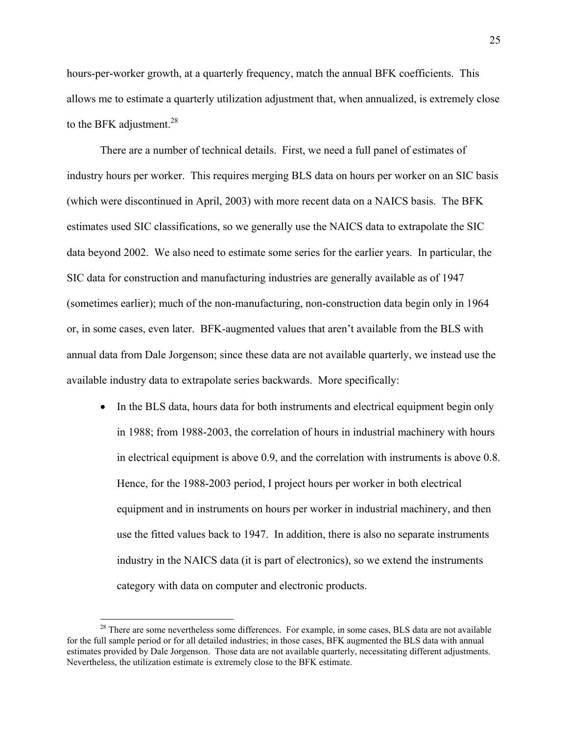hours-per-worker growth, at a quarterly frequency, match the annual BFK coefficients. This allows me to estimate a quarterly utilization adjustment that, when annualized, is extremely close to the BFK adjustment. $^{28}$ 

There are a number of technical details. First, we need a full panel of estimates of industry hours per worker. This requires merging BLS data on hours per worker on an SIC basis (which were discontinued in April, 2003) with more recent data on a NAICS basis. The BFK estimates used SIC classifications, so we generally use the NAICS data to extrapolate the SIC data beyond 2002. We also need to estimate some series for the earlier years. In particular, the SIC data for construction and manufacturing industries are generally available as of 1947 (sometimes earlier); much of the non-manufacturing, non-construction data begin only in 1964 or, in some cases, even later. BFK-augmented values that aren't available from the BLS with annual data from Dale Jorgenson; since these data are not available quarterly, we instead use the available industry data to extrapolate series backwards. More specifically:

• In the BLS data, hours data for both instruments and electrical equipment begin only in 1988; from 1988-2003, the correlation of hours in industrial machinery with hours in electrical equipment is above 0.9, and the correlation with instruments is above 0.8. Hence, for the 1988-2003 period, I project hours per worker in both electrical equipment and in instruments on hours per worker in industrial machinery, and then use the fitted values back to 1947. In addition, there is also no separate instruments industry in the NAICS data (it is part of electronics), so we extend the instruments category with data on computer and electronic products.

<u>.</u>

<sup>&</sup>lt;sup>28</sup> There are some nevertheless some differences. For example, in some cases, BLS data are not available for the full sample period or for all detailed industries; in those cases, BFK augmented the BLS data with annual estimates provided by Dale Jorgenson. Those data are not available quarterly, necessitating different adjustments. Nevertheless, the utilization estimate is extremely close to the BFK estimate.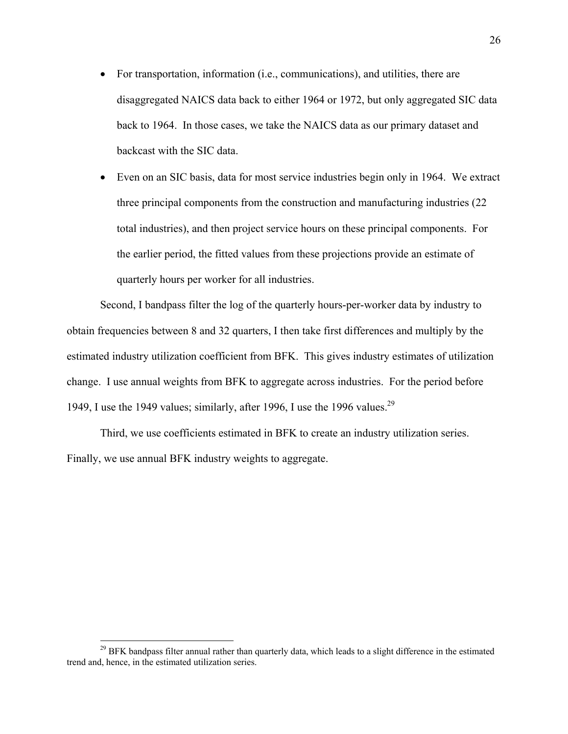- For transportation, information (i.e., communications), and utilities, there are disaggregated NAICS data back to either 1964 or 1972, but only aggregated SIC data back to 1964. In those cases, we take the NAICS data as our primary dataset and backcast with the SIC data.
- Even on an SIC basis, data for most service industries begin only in 1964. We extract three principal components from the construction and manufacturing industries (22 total industries), and then project service hours on these principal components. For the earlier period, the fitted values from these projections provide an estimate of quarterly hours per worker for all industries.

Second, I bandpass filter the log of the quarterly hours-per-worker data by industry to obtain frequencies between 8 and 32 quarters, I then take first differences and multiply by the estimated industry utilization coefficient from BFK. This gives industry estimates of utilization change. I use annual weights from BFK to aggregate across industries. For the period before 1949, I use the 1949 values; similarly, after 1996, I use the 1996 values.<sup>29</sup>

Third, we use coefficients estimated in BFK to create an industry utilization series. Finally, we use annual BFK industry weights to aggregate.

<sup>&</sup>lt;sup>29</sup> BFK bandpass filter annual rather than quarterly data, which leads to a slight difference in the estimated trend and, hence, in the estimated utilization series.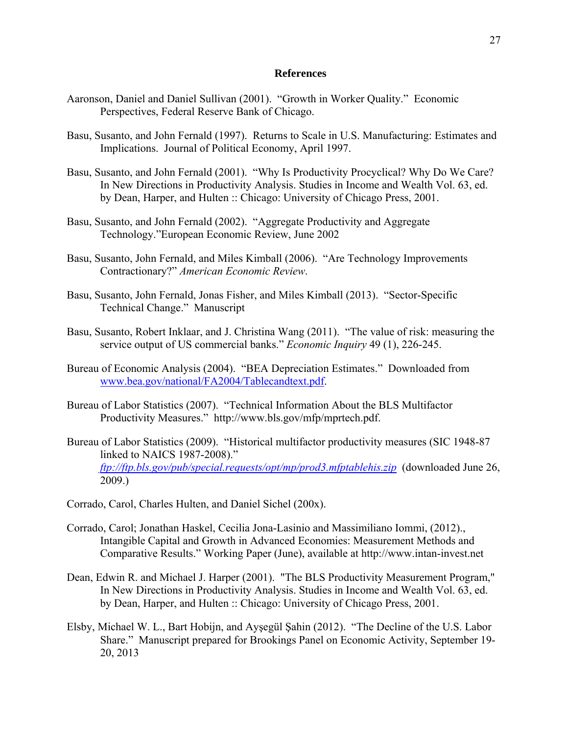## **References**

- Aaronson, Daniel and Daniel Sullivan (2001). "Growth in Worker Quality." Economic Perspectives, Federal Reserve Bank of Chicago.
- Basu, Susanto, and John Fernald (1997). Returns to Scale in U.S. Manufacturing: Estimates and Implications. Journal of Political Economy, April 1997.
- Basu, Susanto, and John Fernald (2001). "Why Is Productivity Procyclical? Why Do We Care? In New Directions in Productivity Analysis. Studies in Income and Wealth Vol. 63, ed. by Dean, Harper, and Hulten :: Chicago: University of Chicago Press, 2001.
- Basu, Susanto, and John Fernald (2002). "Aggregate Productivity and Aggregate Technology."European Economic Review, June 2002
- Basu, Susanto, John Fernald, and Miles Kimball (2006). "Are Technology Improvements Contractionary?" *American Economic Review*.
- Basu, Susanto, John Fernald, Jonas Fisher, and Miles Kimball (2013). "Sector-Specific Technical Change." Manuscript
- Basu, Susanto, Robert Inklaar, and J. Christina Wang (2011). "The value of risk: measuring the service output of US commercial banks." *Economic Inquiry* 49 (1), 226-245.
- Bureau of Economic Analysis (2004). "BEA Depreciation Estimates." Downloaded from www.bea.gov/national/FA2004/Tablecandtext.pdf.
- Bureau of Labor Statistics (2007). "Technical Information About the BLS Multifactor Productivity Measures." http://www.bls.gov/mfp/mprtech.pdf.
- Bureau of Labor Statistics (2009). "Historical multifactor productivity measures (SIC 1948-87 linked to NAICS 1987-2008)." *ftp://ftp.bls.gov/pub/special.requests/opt/mp/prod3.mfptablehis.zip* (downloaded June 26, 2009.)
- Corrado, Carol, Charles Hulten, and Daniel Sichel (200x).
- Corrado, Carol; Jonathan Haskel, Cecilia Jona-Lasinio and Massimiliano Iommi, (2012)., Intangible Capital and Growth in Advanced Economies: Measurement Methods and Comparative Results." Working Paper (June), available at http://www.intan-invest.net
- Dean, Edwin R. and Michael J. Harper (2001). "The BLS Productivity Measurement Program," In New Directions in Productivity Analysis. Studies in Income and Wealth Vol. 63, ed. by Dean, Harper, and Hulten :: Chicago: University of Chicago Press, 2001.
- Elsby, Michael W. L., Bart Hobijn, and Ayşegül Şahin (2012). "The Decline of the U.S. Labor Share." Manuscript prepared for Brookings Panel on Economic Activity, September 19- 20, 2013